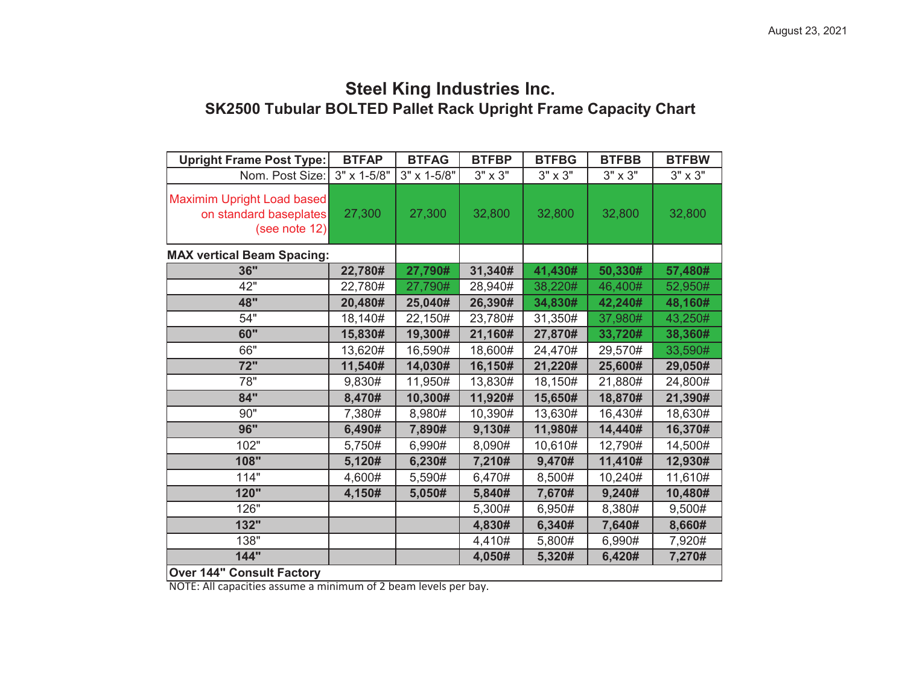## **SK2500 Tubular BOLTED Pallet Rack Upright Frame Capacity Chart Steel King Industries Inc.**

| <b>Upright Frame Post Type:</b>                                       | <b>BTFAP</b> | <b>BTFAG</b> | <b>BTFBP</b>   | <b>BTFBG</b>   | <b>BTFBB</b>   | <b>BTFBW</b>   |  |
|-----------------------------------------------------------------------|--------------|--------------|----------------|----------------|----------------|----------------|--|
| Nom. Post Size:                                                       | 3" x 1-5/8"  | 3" x 1-5/8"  | $3" \times 3"$ | $3" \times 3"$ | $3" \times 3"$ | $3" \times 3"$ |  |
| Maximim Upright Load based<br>on standard baseplates<br>(see note 12) | 27,300       | 27,300       | 32,800         | 32,800         | 32,800         | 32,800         |  |
| <b>MAX vertical Beam Spacing:</b>                                     |              |              |                |                |                |                |  |
| 36"                                                                   | 22,780#      | 27,790#      | 31,340#        | 41,430#        | 50,330#        | 57,480#        |  |
| 42"                                                                   | 22,780#      | 27,790#      | 28,940#        | 38,220#        | 46,400#        | 52,950#        |  |
| 48"                                                                   | 20,480#      | 25,040#      | 26,390#        | 34,830#        | 42,240#        | 48,160#        |  |
| 54"                                                                   | 18,140#      | 22,150#      | 23,780#        | 31,350#        | 37,980#        | 43,250#        |  |
| 60"                                                                   | 15,830#      | 19,300#      | 21,160#        | 27,870#        | 33,720#        | 38,360#        |  |
| 66"                                                                   | 13,620#      | 16,590#      | 18,600#        | 24,470#        | 29,570#        | 33,590#        |  |
| 72"                                                                   | 11,540#      | 14,030#      | 16,150#        | 21,220#        | 25,600#        | 29,050#        |  |
| 78"                                                                   | 9,830#       | 11,950#      | 13,830#        | 18,150#        | 21,880#        | 24,800#        |  |
| 84"                                                                   | 8,470#       | 10,300#      | 11,920#        | 15,650#        | 18,870#        | 21,390#        |  |
| 90"                                                                   | 7,380#       | 8,980#       | 10,390#        | 13,630#        | 16,430#        | 18,630#        |  |
| 96"                                                                   | 6,490#       | 7,890#       | 9,130#         | 11,980#        | 14,440#        | 16,370#        |  |
| 102"                                                                  | 5,750#       | 6,990#       | 8,090#         | 10,610#        | 12,790#        | 14,500#        |  |
| 108"                                                                  | 5,120#       | 6,230#       | 7,210#         | 9,470#         | 11,410#        | 12,930#        |  |
| 114"                                                                  | 4,600#       | 5,590#       | 6,470#         | 8,500#         | 10,240#        | 11,610#        |  |
| 120"                                                                  | 4,150#       | 5,050#       | 5,840#         | 7,670#         | 9,240#         | 10,480#        |  |
| 126"                                                                  |              |              | 5,300#         | 6,950#         | 8,380#         | 9,500#         |  |
| 132"                                                                  |              |              | 4,830#         | 6,340#         | 7,640#         | 8,660#         |  |
| 138"                                                                  |              |              | 4,410#         | 5,800#         | 6,990#         | 7,920#         |  |
| 144"                                                                  |              |              | 4,050#         | 5,320#         | 6,420#         | 7,270#         |  |
| <b>Over 144" Consult Factory</b>                                      |              |              |                |                |                |                |  |

NOTE: All capacities assume a minimum of 2 beam levels per bay.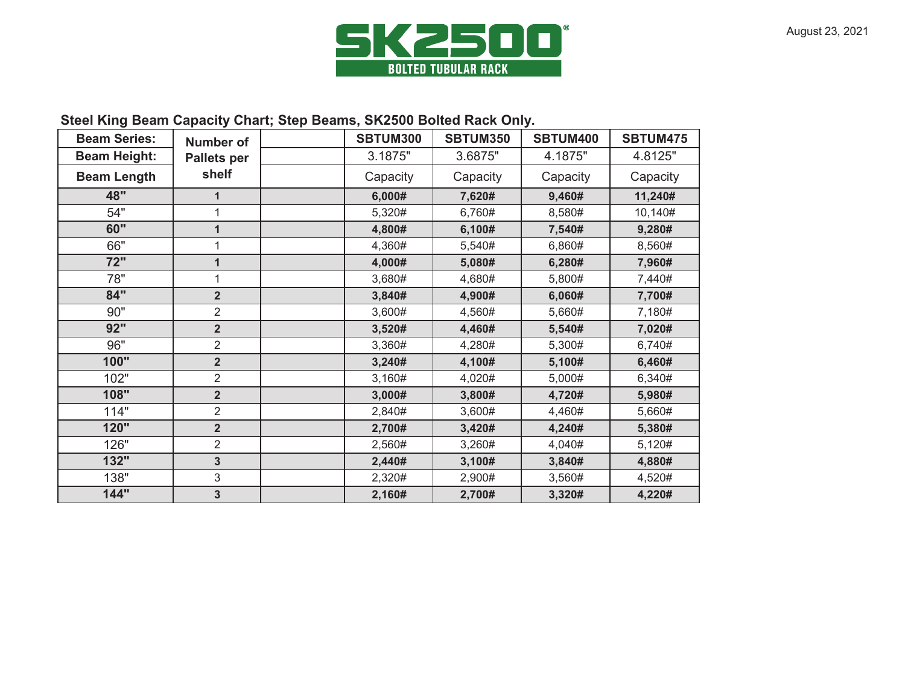

## **Steel King Beam Capacity Chart; Step Beams, SK2500 Bolted Rack Only.**

| <b>Beam Series:</b> | <b>Number of</b>   | <b>SBTUM300</b> | <b>SBTUM350</b> | SBTUM400 | <b>SBTUM475</b> |
|---------------------|--------------------|-----------------|-----------------|----------|-----------------|
| <b>Beam Height:</b> | <b>Pallets per</b> | 3.1875"         | 3.6875"         | 4.1875"  | 4.8125"         |
| <b>Beam Length</b>  | shelf              | Capacity        | Capacity        | Capacity | Capacity        |
| 48"                 |                    | 6,000#          | 7,620#          | 9,460#   | 11,240#         |
| 54"                 |                    | 5,320#          | 6,760#          | 8,580#   | 10,140#         |
| 60"                 | $\mathbf 1$        | 4,800#          | 6,100#          | 7,540#   | 9,280#          |
| 66"                 | 1                  | 4,360#          | 5,540#          | 6,860#   | 8,560#          |
| 72"                 | $\mathbf 1$        | 4,000#          | 5,080#          | 6,280#   | 7,960#          |
| 78"                 | 1                  | 3,680#          | 4,680#          | 5,800#   | 7,440#          |
| 84"                 | 2 <sup>2</sup>     | 3,840#          | 4,900#          | 6,060#   | 7,700#          |
| 90"                 | $\overline{2}$     | 3,600#          | 4,560#          | 5,660#   | 7,180#          |
| 92"                 | 2 <sup>2</sup>     | 3,520#          | 4,460#          | 5,540#   | 7,020#          |
| 96"                 | $\overline{2}$     | 3,360#          | 4,280#          | 5,300#   | 6,740#          |
| 100"                | $\overline{2}$     | 3,240#          | 4,100#          | 5,100#   | 6,460#          |
| 102"                | $\overline{2}$     | 3,160#          | 4,020#          | 5,000#   | 6,340#          |
| 108"                | 2 <sup>2</sup>     | 3,000#          | 3,800#          | 4,720#   | 5,980#          |
| 114"                | $\overline{2}$     | 2,840#          | 3,600#          | 4,460#   | 5,660#          |
| 120"                | 2 <sup>2</sup>     | 2,700#          | 3,420#          | 4,240#   | 5,380#          |
| 126"                | $\overline{2}$     | 2,560#          | 3,260#          | 4,040#   | 5,120#          |
| 132"                | $\overline{3}$     | 2,440#          | 3,100#          | 3,840#   | 4,880#          |
| 138"                | 3                  | 2,320#          | 2,900#          | 3,560#   | 4,520#          |
| 144"                | $\mathbf{3}$       | 2,160#          | 2,700#          | 3,320#   | 4,220#          |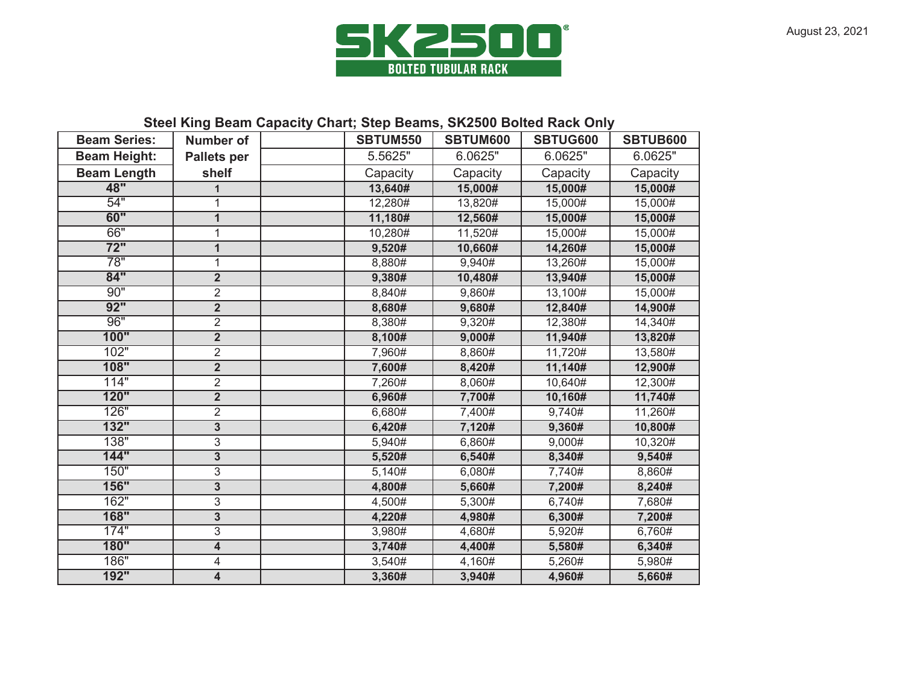

## **Steel King Beam Capacity Chart; Step Beams, SK2500 Bolted Rack Only**

| <b>Beam Series:</b> | <b>Number of</b>        |  | <b>SBTUM550</b> | SBTUM600 | <b>SBTUG600</b> | SBTUB600 |  |
|---------------------|-------------------------|--|-----------------|----------|-----------------|----------|--|
| <b>Beam Height:</b> | <b>Pallets per</b>      |  | 5.5625"         | 6.0625"  | 6.0625"         | 6.0625"  |  |
| <b>Beam Length</b>  | shelf                   |  | Capacity        | Capacity | Capacity        | Capacity |  |
| 48"                 | 1                       |  | 13,640#         | 15,000#  | 15,000#         | 15,000#  |  |
| 54"                 | 1                       |  | 12,280#         | 13,820#  | 15,000#         | 15,000#  |  |
| 60"                 | $\mathbf{1}$            |  | 11,180#         | 12,560#  | 15,000#         | 15,000#  |  |
| 66"                 | $\mathbf{1}$            |  | 10,280#         | 11,520#  | 15,000#         | 15,000#  |  |
| $\overline{72"}$    | $\mathbf{1}$            |  | 9,520#          | 10,660#  | 14,260#         | 15,000#  |  |
| 78"                 | $\mathbf{1}$            |  | 8,880#          | 9,940#   | 13,260#         | 15,000#  |  |
| 84"                 | $\overline{2}$          |  | 9,380#          | 10,480#  | 13,940#         | 15,000#  |  |
| 90"                 | $\overline{2}$          |  | 8,840#          | 9,860#   | 13,100#         | 15,000#  |  |
| 92"                 | $\overline{\mathbf{2}}$ |  | 8,680#          | 9,680#   | 12,840#         | 14,900#  |  |
| 96"                 | $\overline{2}$          |  | 8,380#          | 9,320#   | 12,380#         | 14,340#  |  |
| 100"                | $\overline{2}$          |  | 8,100#          | 9,000#   | 11,940#         | 13,820#  |  |
| 102"                | $\overline{2}$          |  | 7,960#          | 8,860#   | 11,720#         | 13,580#  |  |
| 108"                | $\overline{2}$          |  | 7,600#          | 8,420#   | 11,140#         | 12,900#  |  |
| 114"                | $\overline{2}$          |  | 7,260#          | 8,060#   | 10,640#         | 12,300#  |  |
| 120"                | $\overline{2}$          |  | 6,960#          | 7,700#   | 10,160#         | 11,740#  |  |
| 126"                | $\overline{2}$          |  | 6,680#          | 7,400#   | 9,740#          | 11,260#  |  |
| 132"                | 3                       |  | 6,420#          | 7,120#   | 9,360#          | 10,800#  |  |
| 138"                | 3                       |  | 5,940#          | 6,860#   | 9,000#          | 10,320#  |  |
| 144"                | $\overline{3}$          |  | 5,520#          | 6,540#   | 8,340#          | 9,540#   |  |
| 150"                | 3                       |  | 5,140#          | 6,080#   | 7,740#          | 8,860#   |  |
| <b>156"</b>         | $\overline{3}$          |  | 4,800#          | 5,660#   | 7,200#          | 8,240#   |  |
| 162"                | 3                       |  | 4,500#          | 5,300#   | 6,740#          | 7,680#   |  |
| <b>168"</b>         | 3                       |  | 4,220#          | 4,980#   | 6,300#          | 7,200#   |  |
| 174"                | $\overline{3}$          |  | 3,980#          | 4,680#   | 5,920#          | 6,760#   |  |
| <b>180"</b>         | $\overline{4}$          |  | 3,740#          | 4,400#   | 5,580#          | 6,340#   |  |
| 186"                | 4                       |  | 3,540#          | 4,160#   | 5,260#          | 5,980#   |  |
| 192"                | 4                       |  | 3,360#          | 3,940#   | 4,960#          | 5,660#   |  |